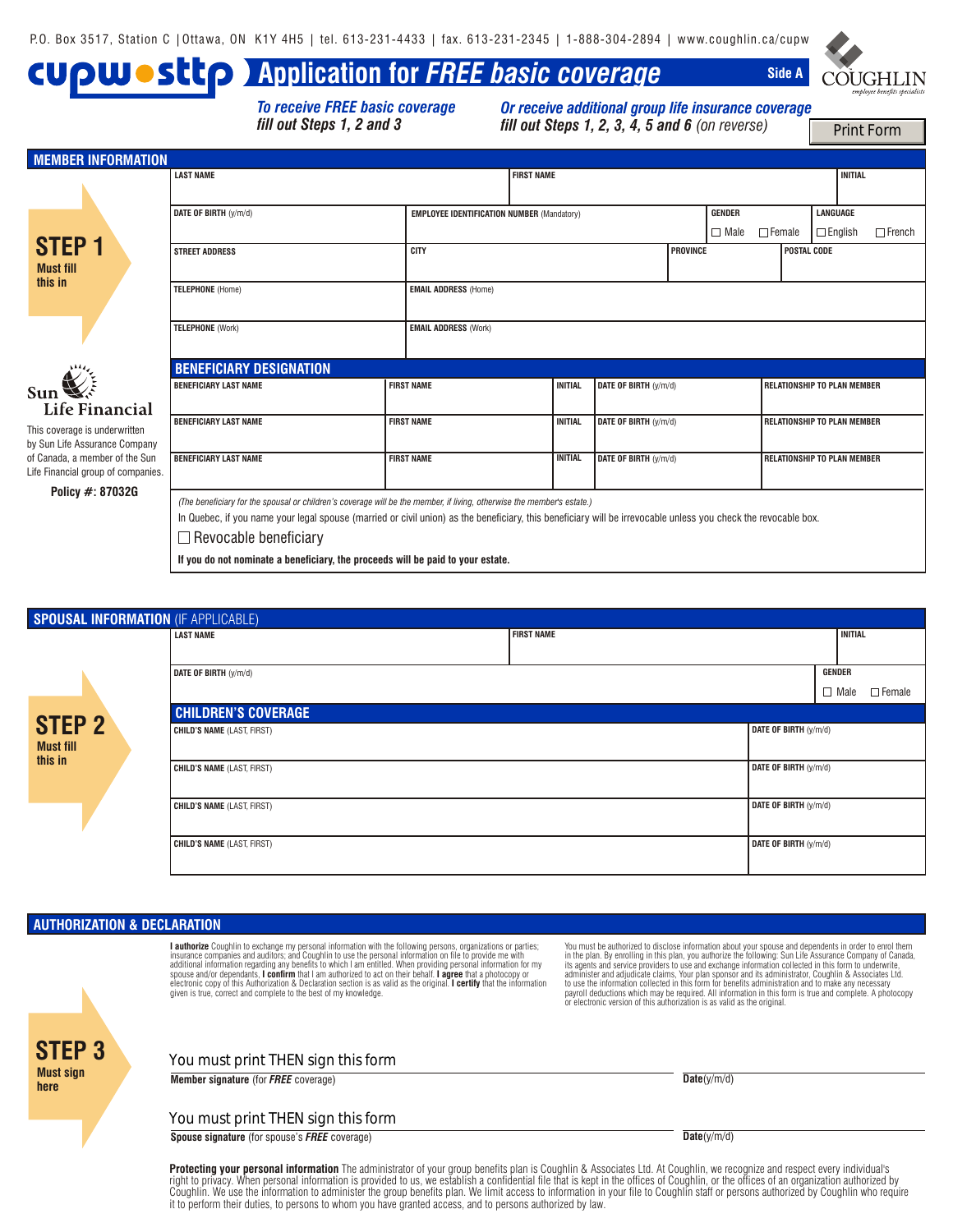**Application for** *FREE basic coverage* **CUPWOStt** 

> *To receive FREE basic coverage fill out Steps 1, 2 and 3*

*Or receive additional group life insurance coverage fill out Steps 1, 2, 3, 4, 5 and 6 (on reverse)*



|  | Print Form |
|--|------------|

| <b>MEMBER INFORMATION</b>                                                                                                                                                                                    |                                                                                                                                                                |                                                   |                   |                       |          |               |                                 |                                    |                |  |  |
|--------------------------------------------------------------------------------------------------------------------------------------------------------------------------------------------------------------|----------------------------------------------------------------------------------------------------------------------------------------------------------------|---------------------------------------------------|-------------------|-----------------------|----------|---------------|---------------------------------|------------------------------------|----------------|--|--|
|                                                                                                                                                                                                              | <b>LAST NAME</b>                                                                                                                                               |                                                   | <b>FIRST NAME</b> |                       |          |               |                                 |                                    |                |  |  |
|                                                                                                                                                                                                              |                                                                                                                                                                |                                                   |                   |                       |          |               |                                 |                                    |                |  |  |
|                                                                                                                                                                                                              | DATE OF BIRTH (y/m/d)                                                                                                                                          | <b>EMPLOYEE IDENTIFICATION NUMBER (Mandatory)</b> |                   |                       |          | <b>GENDER</b> | <b>LANGUAGE</b>                 |                                    |                |  |  |
|                                                                                                                                                                                                              |                                                                                                                                                                |                                                   |                   |                       |          | $\Box$ Male   | $\Box$ Female<br>$\Box$ English |                                    | $\Box$ French  |  |  |
|                                                                                                                                                                                                              | <b>STREET ADDRESS</b>                                                                                                                                          | <b>CITY</b>                                       |                   |                       | PROVINCE |               | <b>POSTAL CODE</b>              |                                    |                |  |  |
| <b>Must fill</b>                                                                                                                                                                                             |                                                                                                                                                                |                                                   |                   |                       |          |               |                                 |                                    |                |  |  |
|                                                                                                                                                                                                              | <b>TELEPHONE</b> (Home)                                                                                                                                        |                                                   |                   |                       |          |               |                                 |                                    |                |  |  |
|                                                                                                                                                                                                              |                                                                                                                                                                |                                                   |                   |                       |          |               |                                 |                                    |                |  |  |
|                                                                                                                                                                                                              | <b>TELEPHONE (Work)</b>                                                                                                                                        | <b>EMAIL ADDRESS (Work)</b>                       |                   |                       |          |               |                                 |                                    |                |  |  |
|                                                                                                                                                                                                              |                                                                                                                                                                |                                                   |                   |                       |          |               |                                 |                                    |                |  |  |
|                                                                                                                                                                                                              | <b>BENEFICIARY DESIGNATION</b>                                                                                                                                 |                                                   |                   |                       |          |               |                                 |                                    | <b>INITIAL</b> |  |  |
|                                                                                                                                                                                                              | <b>BENEFICIARY LAST NAME</b>                                                                                                                                   | <b>FIRST NAME</b>                                 | <b>INITIAL</b>    | DATE OF BIRTH (y/m/d) |          |               |                                 | <b>RELATIONSHIP TO PLAN MEMBER</b> |                |  |  |
| STEP <sub>1</sub><br>this in<br>Life Financial<br>This coverage is underwritten<br>by Sun Life Assurance Company<br>of Canada, a member of the Sun<br>Life Financial group of companies.<br>Policy #: 87032G |                                                                                                                                                                |                                                   |                   |                       |          |               |                                 |                                    |                |  |  |
|                                                                                                                                                                                                              | <b>BENEFICIARY LAST NAME</b>                                                                                                                                   | <b>FIRST NAME</b>                                 | <b>INITIAL</b>    | DATE OF BIRTH (y/m/d) |          |               |                                 | <b>RELATIONSHIP TO PLAN MEMBER</b> |                |  |  |
|                                                                                                                                                                                                              |                                                                                                                                                                |                                                   |                   |                       |          |               |                                 |                                    |                |  |  |
|                                                                                                                                                                                                              | <b>BENEFICIARY LAST NAME</b>                                                                                                                                   | <b>FIRST NAME</b>                                 | <b>INITIAL</b>    | DATE OF BIRTH (y/m/d) |          |               |                                 | <b>RELATIONSHIP TO PLAN MEMBER</b> |                |  |  |
|                                                                                                                                                                                                              |                                                                                                                                                                |                                                   |                   |                       |          |               |                                 |                                    |                |  |  |
|                                                                                                                                                                                                              | (The beneficiary for the spousal or children's coverage will be the member, if living, otherwise the member's estate.)                                         |                                                   |                   |                       |          |               |                                 |                                    |                |  |  |
|                                                                                                                                                                                                              | In Quebec, if you name your legal spouse (married or civil union) as the beneficiary, this beneficiary will be irrevocable unless you check the revocable box. |                                                   |                   |                       |          |               |                                 |                                    |                |  |  |
|                                                                                                                                                                                                              | $\Box$ Revocable beneficiary                                                                                                                                   |                                                   |                   |                       |          |               |                                 |                                    |                |  |  |
|                                                                                                                                                                                                              | If you do not nominate a beneficiary, the proceeds will be paid to your estate.                                                                                |                                                   |                   |                       |          |               |                                 |                                    |                |  |  |

| <b>SPOUSAL INFORMATION (IF APPLICABLE)</b> |                                                            |                       |                       |  |  |  |  |
|--------------------------------------------|------------------------------------------------------------|-----------------------|-----------------------|--|--|--|--|
|                                            | <b>FIRST NAME</b><br><b>LAST NAME</b>                      |                       |                       |  |  |  |  |
| STEP 2<br><b>Must fill</b><br>this in      | DATE OF BIRTH (y/m/d)                                      |                       |                       |  |  |  |  |
|                                            | <b>CHILDREN'S COVERAGE</b>                                 |                       |                       |  |  |  |  |
|                                            | DATE OF BIRTH (y/m/d)<br><b>CHILD'S NAME (LAST, FIRST)</b> |                       |                       |  |  |  |  |
|                                            | <b>CHILD'S NAME (LAST, FIRST)</b>                          | DATE OF BIRTH (y/m/d) |                       |  |  |  |  |
|                                            | <b>CHILD'S NAME (LAST, FIRST)</b>                          | DATE OF BIRTH (y/m/d) |                       |  |  |  |  |
|                                            | <b>CHILD'S NAME (LAST, FIRST)</b>                          |                       | DATE OF BIRTH (y/m/d) |  |  |  |  |

## **AUTHORIZATION & DECLARATION**

**STEP 3 Must sign here**

**I authorize** Coughlin to exchange my personal information with the following persons, organizations or parties; insurance companies and auditors; and Coughlin to use the personal information on file to provide me with<br>additional information regarding any benefits to which I am entitled. When providing personal information for my<br>spo electronic copy of this Authorization & Declaration section is as valid as the original. **I certify** that the information given is true, correct and complete to the best of my knowledge.

You must be authorized to disclose information about your spouse and dependents in order to enroll them<br>in the plan. By enrolling in this plan, you authorize the following: Sun Life Assurance Company of Canada,<br>its agents

## You must print THEN sign this form

**Member signature** (for FREE coverage) **Date**(y/m/d)

## You must print THEN sign this form

**Spouse signature** (for spouse's *FREE* coverage) **Date**(y/m/d)

Protecting your personal information The administrator of your group benefits plan is Coughlin & Associates Ltd. At Coughlin, we recognize and respect every individual's right to privacy. When personal information is provided to us, we establish a confidential file that is kept in the offices of Coughlin, or the offices of an organization authorized by<br>Coughlin. We use the information to a it to perform their duties, to persons to whom you have granted access, and to persons authorized by law.